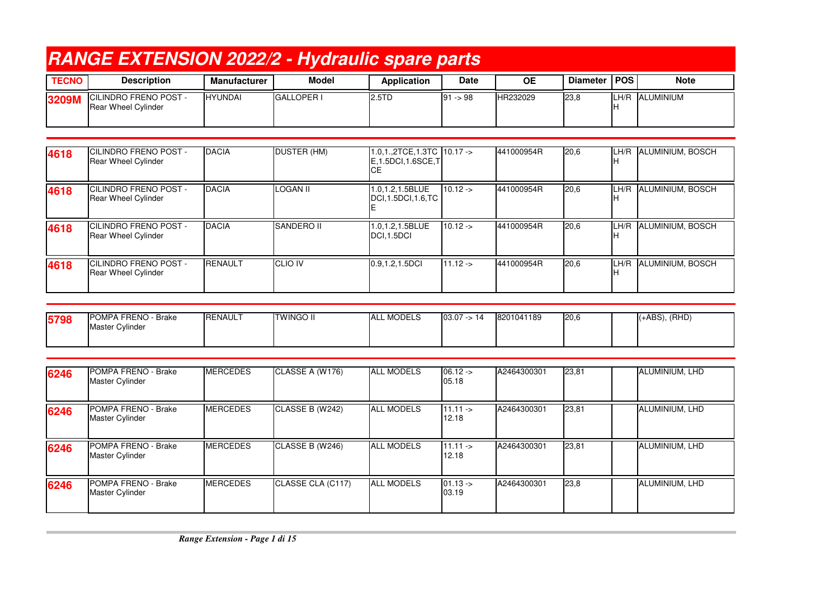|              | <b>RANGE EXTENSION 2022/2 - Hydraulic spare parts</b>      |                |                   |             |             |                 |                |      |             |  |  |  |
|--------------|------------------------------------------------------------|----------------|-------------------|-------------|-------------|-----------------|----------------|------|-------------|--|--|--|
| <b>TECNO</b> | <b>Description</b>                                         | Manufacturer   | Model             | Application | <b>Date</b> | ΟE              | Diameter   POS |      | <b>Note</b> |  |  |  |
| 3209M        | <b>CILINDRO FRENO POST -</b><br><b>Rear Wheel Cylinder</b> | <b>HYUNDAI</b> | <b>GALLOPER I</b> | 2.5TD       | $91 - 98$   | <b>HR232029</b> | 23,8           | LH/R | ALUMINIUM   |  |  |  |

| 4618 | <b>ICILINDRO FRENO POST -</b><br><b>Rear Wheel Cylinder</b> | <b>DACIA</b>   | DUSTER (HM)     | $1.0, 1., 2TCE, 1.3TC$ 10.17 -><br>$E$ , 1.5DCI, 1.6SCE, T<br><b>CE</b> |           | 441000954R | 20,6 | LH/R        | ALUMINIUM, BOSCH |
|------|-------------------------------------------------------------|----------------|-----------------|-------------------------------------------------------------------------|-----------|------------|------|-------------|------------------|
| 4618 | <b>ICILINDRO FRENO POST -</b><br><b>Rear Wheel Cylinder</b> | <b>DACIA</b>   | <b>LOGAN II</b> | 1.0,1.2,1.5BLUE<br>DCI, 1.5DCI, 1.6, TC                                 | $10.12 -$ | 441000954R | 20,6 | LH/R<br>IH. | ALUMINIUM, BOSCH |
| 4618 | <b>ICILINDRO FRENO POST -</b><br><b>Rear Wheel Cylinder</b> | <b>DACIA</b>   | SANDERO II      | 1.0,1.2,1.5BLUE<br>DCI <sub>.1.5</sub> DCI                              | $10.12 -$ | 441000954R | 20,6 | LH/R        | ALUMINIUM, BOSCH |
| 4618 | <b>ICILINDRO FRENO POST -</b><br><b>Rear Wheel Cylinder</b> | <b>RENAULT</b> | <b>CLIO IV</b>  | 0.9, 1.2, 1.5DCI                                                        | $11.12 -$ | 441000954R | 20,6 | LH/R        | ALUMINIUM, BOSCH |

| 5798 | <b>POMPA FRENO</b><br>) - Brake<br><b>Master Cylinder</b> | RENAULT | <b>TWINGO II</b> | <b>MODELS</b><br>IAL. | 03.07<br>14 <- ֹ | 8201041189 | 20,6 | $(+ABS)$ , $(RHD)$ |
|------|-----------------------------------------------------------|---------|------------------|-----------------------|------------------|------------|------|--------------------|
|      |                                                           |         |                  |                       |                  |            |      |                    |

| 6246 | POMPA FRENO - Brake<br>Master Cylinder | <b>MERCEDES</b> | CLASSE A (W176)   | <b>ALL MODELS</b> | $06.12 -$<br>05.18       | A2464300301 | 23,81 | ALUMINIUM, LHD |
|------|----------------------------------------|-----------------|-------------------|-------------------|--------------------------|-------------|-------|----------------|
| 6246 | POMPA FRENO - Brake<br>Master Cylinder | <b>MERCEDES</b> | CLASSE B (W242)   | <b>ALL MODELS</b> | $111.11 -$<br>12.18      | A2464300301 | 23,81 | ALUMINIUM, LHD |
| 6246 | POMPA FRENO - Brake<br>Master Cylinder | <b>MERCEDES</b> | CLASSE B (W246)   | <b>ALL MODELS</b> | $11.11 - \geq$<br>12.18  | A2464300301 | 23,81 | ALUMINIUM, LHD |
| 6246 | POMPA FRENO - Brake<br>Master Cylinder | <b>MERCEDES</b> | CLASSE CLA (C117) | <b>ALL MODELS</b> | $01.13 - \ge 0$<br>03.19 | A2464300301 | 23,8  | ALUMINIUM, LHD |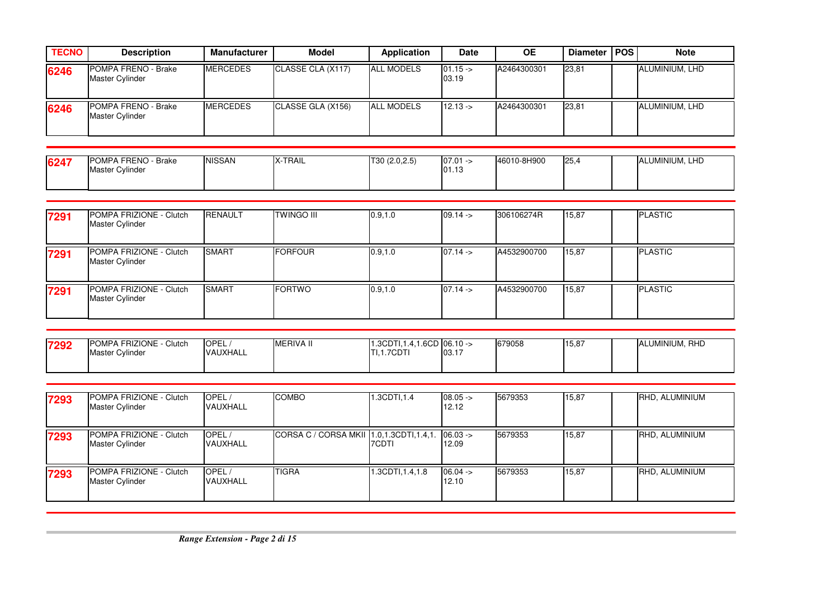| <b>TECNO</b> | <b>Description</b>                     | Manufacturer    | Model             | Application       | <b>Date</b>        | <b>OE</b>   | Diameter   POS | <b>Note</b>    |
|--------------|----------------------------------------|-----------------|-------------------|-------------------|--------------------|-------------|----------------|----------------|
| 6246         | POMPA FRENO - Brake<br>Master Cylinder | <b>MERCEDES</b> | CLASSE CLA (X117) | <b>ALL MODELS</b> | $01.15 -$<br>03.19 | A2464300301 | 23,81          | ALUMINIUM, LHD |
| 6246         | POMPA FRENO - Brake<br>Master Cylinder | <b>MERCEDES</b> | CLASSE GLA (X156) | <b>ALL MODELS</b> | $12.13 - 5$        | A2464300301 | 23,81          | ALUMINIUM, LHD |

| 6247 | <b>POMPA FRENO</b><br>- Brake<br>Master<br>Cylinder | <b>NISSAN</b> | X-TRAIL | (2.0.2.5)<br>T30 | $07.01 -$<br>01.13 | 46010-8H900 | 125. |  | ALUMINIUM, LHD |
|------|-----------------------------------------------------|---------------|---------|------------------|--------------------|-------------|------|--|----------------|
|------|-----------------------------------------------------|---------------|---------|------------------|--------------------|-------------|------|--|----------------|

| 7291 | POMPA FRIZIONE - Clutch<br>Master Cylinder | <b>RENAULT</b> | <b>TWINGO III</b> | 0.9, 1.0 | $09.14 -$ | 306106274R  | 15,87 | <b>PLASTIC</b> |
|------|--------------------------------------------|----------------|-------------------|----------|-----------|-------------|-------|----------------|
| 7291 | POMPA FRIZIONE - Clutch<br>Master Cylinder | <b>SMART</b>   | <b>FORFOUR</b>    | 0.9, 1.0 | $07.14 -$ | A4532900700 | 15,87 | <b>PLASTIC</b> |
| 7291 | POMPA FRIZIONE - Clutch<br>Master Cylinder | <b>SMART</b>   | <b>FORTWO</b>     | 0.9, 1.0 | $07.14 -$ | A4532900700 | 15,87 | <b>PLASTIC</b> |

| 7292 | POMPA FRIZIONE -<br>Clutch | <b>OPEL</b> | <b>MERIVA II</b> | $'$ .3CDTI.1.4. | $1.6CD$ 06.10 -> | 679058 | 15,87 | ALUMINIUM, RHD |
|------|----------------------------|-------------|------------------|-----------------|------------------|--------|-------|----------------|
|      | <b>Master Cylinder</b>     | VAUXHALL    |                  | [I.1.7CDTI      | 03.17            |        |       |                |
|      |                            |             |                  |                 |                  |        |       |                |

| 7293 | <b>POMPA FRIZIONE - Clutch</b><br>Master Cylinder | OPEL/<br>VAUXHALL | <b>COMBO</b>                            | 1.3CDTI,1.4       | $08.05 -$<br>12.12 | 5679353 | 15,87 | RHD, ALUMINIUM        |
|------|---------------------------------------------------|-------------------|-----------------------------------------|-------------------|--------------------|---------|-------|-----------------------|
| 7293 | POMPA FRIZIONE - Clutch<br>Master Cylinder        | OPEL/<br>VAUXHALL | CORSA C / CORSA MKII 1.0,1.3CDTI,1.4,1. | <b>7CDTI</b>      | $06.03 -$<br>12.09 | 5679353 | 15,87 | RHD, ALUMINIUM        |
| 7293 | POMPA FRIZIONE - Clutch<br><b>Master Cylinder</b> | OPEL,<br>VAUXHALL | <b>TIGRA</b>                            | 1.3CDTI, 1.4, 1.8 | $06.04 -$<br>12.10 | 5679353 | 15,87 | <b>RHD. ALUMINIUM</b> |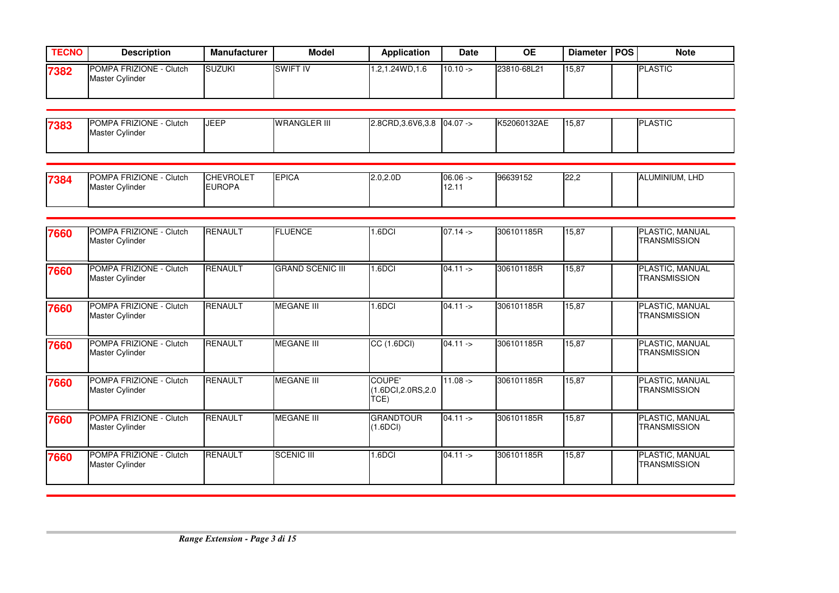| <b>TECNO</b> | <b>Description</b>                                | <b>Manufacturer</b> | Model           | <b>Application</b> | <b>Date</b> | <b>OE</b>   | Diameter   POS | <b>Note</b>    |
|--------------|---------------------------------------------------|---------------------|-----------------|--------------------|-------------|-------------|----------------|----------------|
| 7382         | <b>POMPA FRIZIONE - Clutch</b><br>Master Cylinder | <b>ISUZUKI</b>      | <b>SWIFT IV</b> | 1.2,1.24WD,1.6     | $110.10 ->$ | 23810-68L21 | 15,87          | <b>PLASTIC</b> |

| 7383 | POMPA FRIZIONE -<br>Clutch | <b>JEEF</b> | <b>WRANGLER III</b> | 2.8CRD, 3.6V6, 3.8 | $04.07 -$ | K52060132AE | 15,87 | LASTIC<br>וסו |
|------|----------------------------|-------------|---------------------|--------------------|-----------|-------------|-------|---------------|
|      | Master Cylinder            |             |                     |                    |           |             |       |               |
|      |                            |             |                     |                    |           |             |       |               |

| 7384 | <b>POMPA FRIZIONE</b><br>Clutch<br><b>Master Cylinder</b> | <b>CHEVROLET</b><br><b>EUROPA</b> | <b>EPICA</b> | $2.0, 2.0$ D | $06.06 - 1$<br>. | 96639152 | 122,2 | ALUMINIUM, LHD<br>IΑ |
|------|-----------------------------------------------------------|-----------------------------------|--------------|--------------|------------------|----------|-------|----------------------|
|      |                                                           |                                   |              |              |                  |          |       |                      |

| 7660 | POMPA FRIZIONE - Clutch<br>Master Cylinder | <b>RENAULT</b> | <b>FLUENCE</b>          | <b>.6DCI</b>                         | $07.14 -$          | 306101185R | 15,87 | PLASTIC, MANUAL<br><b>TRANSMISSION</b> |
|------|--------------------------------------------|----------------|-------------------------|--------------------------------------|--------------------|------------|-------|----------------------------------------|
| 7660 | POMPA FRIZIONE - Clutch<br>Master Cylinder | <b>RENAULT</b> | <b>GRAND SCENIC III</b> | I.6DCI                               | $04.11 -$          | 306101185R | 15,87 | PLASTIC, MANUAL<br>TRANSMISSION        |
| 7660 | POMPA FRIZIONE - Clutch<br>Master Cylinder | <b>RENAULT</b> | <b>MEGANE III</b>       | <b>.6DCI</b>                         | $04.11 -$          | 306101185R | 15,87 | PLASTIC, MANUAL<br><b>TRANSMISSION</b> |
| 7660 | POMPA FRIZIONE - Clutch<br>Master Cylinder | <b>RENAULT</b> | <b>MEGANE III</b>       | CC (1.6DCI)                          | $04.11 -$          | 306101185R | 15,87 | PLASTIC, MANUAL<br><b>TRANSMISSION</b> |
| 7660 | POMPA FRIZIONE - Clutch<br>Master Cylinder | <b>RENAULT</b> | <b>MEGANE III</b>       | COUPE'<br>1.6DCI, 2.0RS, 2.0<br>TCE) | $11.08 - \epsilon$ | 306101185R | 15,87 | PLASTIC, MANUAL<br><b>TRANSMISSION</b> |
| 7660 | POMPA FRIZIONE - Clutch<br>Master Cylinder | RENAULT        | <b>MEGANE III</b>       | <b>GRANDTOUR</b><br>(1.6DCI)         | $04.11 -$          | 306101185R | 15,87 | PLASTIC, MANUAL<br><b>TRANSMISSION</b> |
| 7660 | POMPA FRIZIONE - Clutch<br>Master Cylinder | <b>RENAULT</b> | <b>SCENIC III</b>       | <b>.6DCI</b>                         | $04.11 -$          | 306101185R | 15,87 | PLASTIC, MANUAL<br>TRANSMISSION        |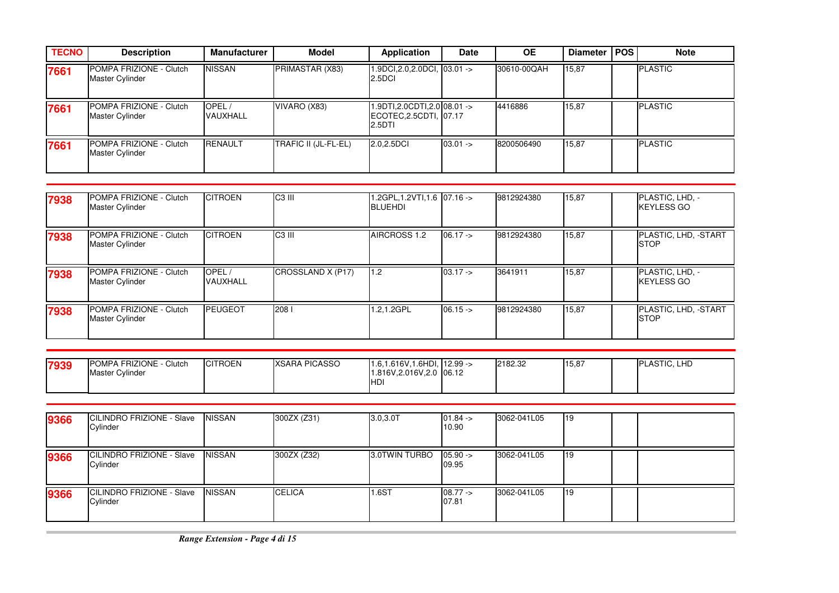| <b>TECNO</b> | <b>Description</b>                         | <b>Manufacturer</b>      | <b>Model</b>         | Application                                                         | <b>Date</b> | <b>OE</b>   | Diameter   POS | <b>Note</b>    |
|--------------|--------------------------------------------|--------------------------|----------------------|---------------------------------------------------------------------|-------------|-------------|----------------|----------------|
| 7661         | POMPA FRIZIONE - Clutch<br>Master Cylinder | <b>NISSAN</b>            | PRIMASTAR (X83)      | 1.9DCI, 2.0, 2.0DCI, 03.01 -><br>2.5DCI                             |             | 30610-00QAH | 15,87          | <b>PLASTIC</b> |
| 7661         | POMPA FRIZIONE - Clutch<br>Master Cylinder | OPEL/<br><b>VAUXHALL</b> | VIVARO (X83)         | $1.9DTI, 2.0CDTI, 2.0$ 08.01 -><br>ECOTEC, 2.5CDTI, 07.17<br>2.5DTI |             | 4416886     | 15,87          | <b>PLASTIC</b> |
| 7661         | POMPA FRIZIONE - Clutch<br>Master Cylinder | <b>RENAULT</b>           | TRAFIC II (JL-FL-EL) | 2.0,2.5DCI                                                          | $03.01 -$   | 8200506490  | 15,87          | <b>PLASTIC</b> |

| 7938 | <b>POMPA FRIZIONE - Clutch</b><br>Master Cylinder | <b>CITROEN</b>    | C <sub>3</sub> III | 1.2GPL,1.2VTI,1.6 07.16 -><br><b>BLUEHDI</b> |           | 9812924380 | 15,87 | PLASTIC, LHD, -<br><b>KEYLESS GO</b> |
|------|---------------------------------------------------|-------------------|--------------------|----------------------------------------------|-----------|------------|-------|--------------------------------------|
| 7938 | POMPA FRIZIONE - Clutch<br>Master Cylinder        | <b>CITROEN</b>    | C <sub>3</sub> III | AIRCROSS 1.2                                 | $06.17 -$ | 9812924380 | 15,87 | PLASTIC, LHD, -START<br><b>STOP</b>  |
| 7938 | POMPA FRIZIONE - Clutch<br>Master Cylinder        | OPEL/<br>VAUXHALL | CROSSLAND X (P17)  | 1.2                                          | $03.17 -$ | 3641911    | 15,87 | PLASTIC, LHD, -<br><b>KEYLESS GO</b> |
| 7938 | POMPA FRIZIONE - Clutch<br>Master Cylinder        | <b>IPEUGEOT</b>   | 2081               | 1.2,1.2GPL                                   | $06.15 -$ | 9812924380 | 15,87 | PLASTIC, LHD, -START<br><b>ISTOP</b> |

| 7939 | POMPA FRIZIONE -<br>Clutch<br>Master Cylinder | <b>CITROEN</b> | <b>XSARA PICASSO</b> | 1.6.1.616V, 1.6HDI, 12.99 -><br>1.816V,2.016V,2.0 06.12<br>'HD | 2182.32 | 15,87 | <b>PLASTIC, LHD</b> |
|------|-----------------------------------------------|----------------|----------------------|----------------------------------------------------------------|---------|-------|---------------------|

| 9366 | CILINDRO FRIZIONE - Slave<br>Cylinder        | <b>NISSAN</b> | 300ZX (Z31)   | $3.0, 3.0$ T  | $01.84 -$<br>10.90  | 3062-041L05 | <b>1</b> 19 |  |
|------|----------------------------------------------|---------------|---------------|---------------|---------------------|-------------|-------------|--|
| 9366 | CILINDRO FRIZIONE - Slave<br>Cylinder        | <b>NISSAN</b> | 300ZX (Z32)   | 3.0TWIN TURBO | $05.90 ->$<br>09.95 | 3062-041L05 | <b>119</b>  |  |
| 9366 | <b>CILINDRO FRIZIONE - Slave</b><br>Cylinder | <b>NISSAN</b> | <b>CELICA</b> | 1.6ST         | $08.77 -$<br>07.81  | 3062-041L05 | 119         |  |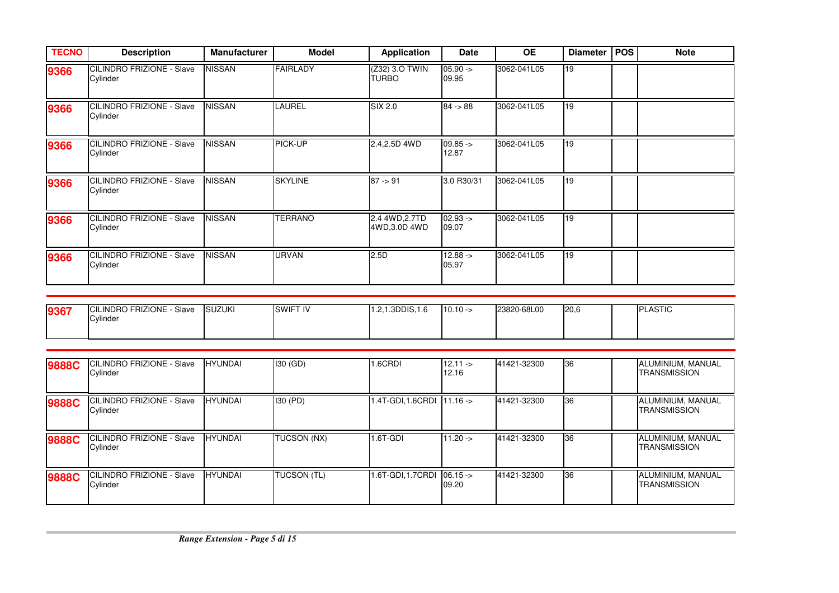| <b>TECNO</b> | <b>Description</b>                            | <b>Manufacturer</b> | <b>Model</b>    | <b>Application</b>              | Date                | <b>OE</b>   | <b>Diameter</b> | <b>POS</b> | <b>Note</b> |
|--------------|-----------------------------------------------|---------------------|-----------------|---------------------------------|---------------------|-------------|-----------------|------------|-------------|
| 9366         | CILINDRO FRIZIONE - Slave<br>Cylinder         | <b>NISSAN</b>       | <b>FAIRLADY</b> | (Z32) 3.0 TWIN<br>TURBO         | $05.90 ->$<br>09.95 | 3062-041L05 | 119             |            |             |
| 9366         | <b>ICILINDRO FRIZIONE - Slave</b><br>Cylinder | <b>NISSAN</b>       | LAUREL          | SIX 2.0                         | $84 - 88$           | 3062-041L05 | 19              |            |             |
| 9366         | <b>CILINDRO FRIZIONE - Slave</b><br>Cylinder  | <b>NISSAN</b>       | PICK-UP         | 2.4,2.5D 4WD                    | $09.85 -$<br>12.87  | 3062-041L05 | 19              |            |             |
| 9366         | CILINDRO FRIZIONE - Slave<br>Cylinder         | NISSAN              | <b>SKYLINE</b>  | $87 - 91$                       | 3.0 R30/31          | 3062-041L05 | 19              |            |             |
| 9366         | CILINDRO FRIZIONE - Slave<br>Cylinder         | <b>NISSAN</b>       | <b>TERRANO</b>  | 2.4 4WD, 2.7TD<br>4WD, 3.0D 4WD | $02.93 -$<br>09.07  | 3062-041L05 | 19              |            |             |
| 9366         | <b>CILINDRO FRIZIONE - Slave</b><br>Cylinder  | <b>NISSAN</b>       | <b>URVAN</b>    | 2.5D                            | $12.88 ->$<br>05.97 | 3062-041L05 | 19              |            |             |

| 9367 | <b>CILINDRO FRIZIONE</b><br>Slave | <b>SUZUKI</b> | <b>SWIFT IV</b> | .1.3DDIS, 1.6<br>$\sim$<br> | $110.10 - \epsilon$ | 23820-68L00 | 20.6 | <b>PLASTIC</b> |
|------|-----------------------------------|---------------|-----------------|-----------------------------|---------------------|-------------|------|----------------|
|      | Cylinder                          |               |                 |                             |                     |             |      |                |
|      |                                   |               |                 |                             |                     |             |      |                |

| <b>9888C</b> | <b>ICILINDRO FRIZIONE - Slave</b><br>Cylinder | <b>HYUNDAI</b> | $130$ (GD)  | 1.6CRDI                    | $12.11 -$<br>12.16 | 41421-32300 | 36 | ALUMINIUM, MANUAL<br>TRANSMISSION |
|--------------|-----------------------------------------------|----------------|-------------|----------------------------|--------------------|-------------|----|-----------------------------------|
| 9888C        | <b>ICILINDRO FRIZIONE - Slave</b><br>Cylinder | <b>HYUNDAI</b> | 130 (PD)    | 1.4T-GDI,1.6CRDI 11.16 ->  |                    | 41421-32300 | 36 | ALUMINIUM, MANUAL<br>TRANSMISSION |
| 9888C        | <b>CILINDRO FRIZIONE - Slave</b><br>Cylinder  | <b>HYUNDAI</b> | TUCSON (NX) | $1.6T$ -GDI                | $11.20 -$          | 41421-32300 | 36 | ALUMINIUM, MANUAL<br>TRANSMISSION |
| 9888C        | <b>CILINDRO FRIZIONE - Slave</b><br>Cylinder  | <b>HYUNDAI</b> | TUCSON (TL) | 1.6T-GDI, 1.7CRDI 06.15 -> | 09.20              | 41421-32300 | 36 | ALUMINIUM, MANUAL<br>TRANSMISSION |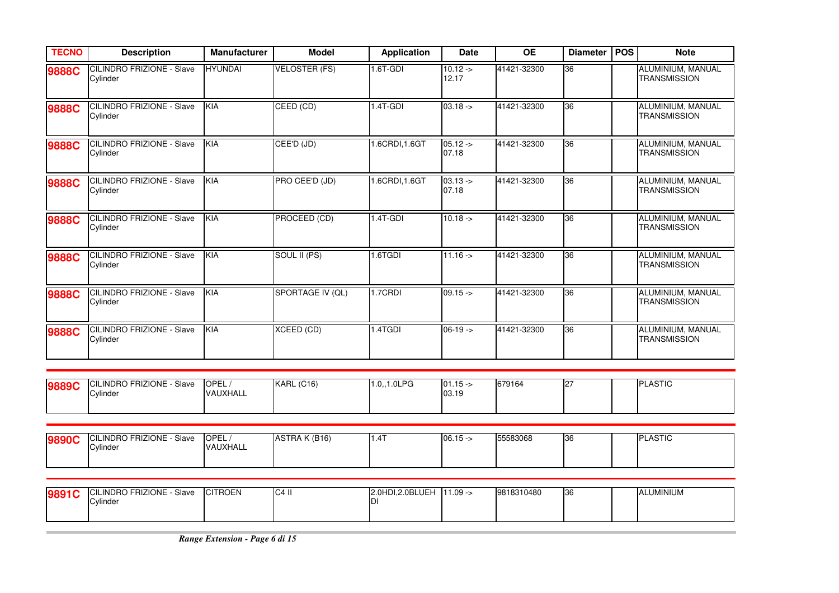| <b>TECNO</b> | <b>Description</b>                           | Manufacturer      | <b>Model</b>         | <b>Application</b>     | <b>Date</b>          | <b>OE</b>   | <b>Diameter</b> | POS | <b>Note</b>                              |
|--------------|----------------------------------------------|-------------------|----------------------|------------------------|----------------------|-------------|-----------------|-----|------------------------------------------|
| 9888C        | <b>CILINDRO FRIZIONE - Slave</b><br>Cylinder | <b>HYUNDAI</b>    | <b>VELOSTER (FS)</b> | $1.6T$ -GDI            | $10.12 - 5$<br>12.17 | 41421-32300 | 36              |     | ALUMINIUM, MANUAL<br><b>TRANSMISSION</b> |
| 9888C        | CILINDRO FRIZIONE - Slave<br>Cylinder        | KIA               | CEED (CD)            | $1.4T-GDI$             | $03.18 ->$           | 41421-32300 | 36              |     | ALUMINIUM, MANUAL<br><b>TRANSMISSION</b> |
| <b>9888C</b> | CILINDRO FRIZIONE - Slave<br>Cylinder        | KIA               | CEE'D (JD)           | 1.6CRDI, 1.6GT         | $05.12 -$<br>07.18   | 41421-32300 | 36              |     | ALUMINIUM, MANUAL<br><b>TRANSMISSION</b> |
| 9888C        | <b>CILINDRO FRIZIONE - Slave</b><br>Cylinder | <b>KIA</b>        | PRO CEE'D (JD)       | 1.6CRDI, 1.6GT         | $03.13 -$<br>07.18   | 41421-32300 | 36              |     | ALUMINIUM, MANUAL<br><b>TRANSMISSION</b> |
| 9888C        | CILINDRO FRIZIONE - Slave<br>Cylinder        | KIA               | PROCEED (CD)         | 1.4T-GDI               | $10.18 ->$           | 41421-32300 | 36              |     | ALUMINIUM, MANUAL<br><b>TRANSMISSION</b> |
| 9888C        | CILINDRO FRIZIONE - Slave<br>Cylinder        | KIA               | SOUL II (PS)         | 1.6TGDI                | $11.16 - >$          | 41421-32300 | 36              |     | ALUMINIUM, MANUAL<br><b>TRANSMISSION</b> |
| 9888C        | CILINDRO FRIZIONE - Slave<br>Cylinder        | <b>KIA</b>        | SPORTAGE IV (QL)     | 1.7CRDI                | $09.15 -$            | 41421-32300 | 36              |     | ALUMINIUM, MANUAL<br><b>TRANSMISSION</b> |
| 9888C        | CILINDRO FRIZIONE - Slave<br>Cylinder        | KIA               | <b>XCEED (CD)</b>    | 1.4TGDI                | $06-19 -$            | 41421-32300 | 36              |     | ALUMINIUM, MANUAL<br><b>TRANSMISSION</b> |
| 9889C        | CILINDRO FRIZIONE - Slave<br>Cylinder        | OPEL/<br>VAUXHALL | <b>KARL (C16)</b>    | 1.0,,1.0LPG            | $01.15 -$<br>03.19   | 679164      | 27              |     | <b>PLASTIC</b>                           |
|              |                                              |                   |                      |                        |                      |             |                 |     |                                          |
| 9890C        | <b>CILINDRO FRIZIONE - Slave</b><br>Cylinder | OPEL/<br>VAUXHALL | <b>ASTRA K (B16)</b> | 1.4T                   | $06.15 -$            | 55583068    | 36              |     | <b>PLASTIC</b>                           |
|              |                                              |                   |                      |                        |                      |             |                 |     |                                          |
| 9891C        | <b>CILINDRO FRIZIONE - Slave</b><br>Cylinder | <b>CITROEN</b>    | $C4$ II              | 2.0HDI, 2.0BLUEH<br>DI | $11.09 ->$           | 9818310480  | 36              |     | <b>ALUMINIUM</b>                         |

**COL**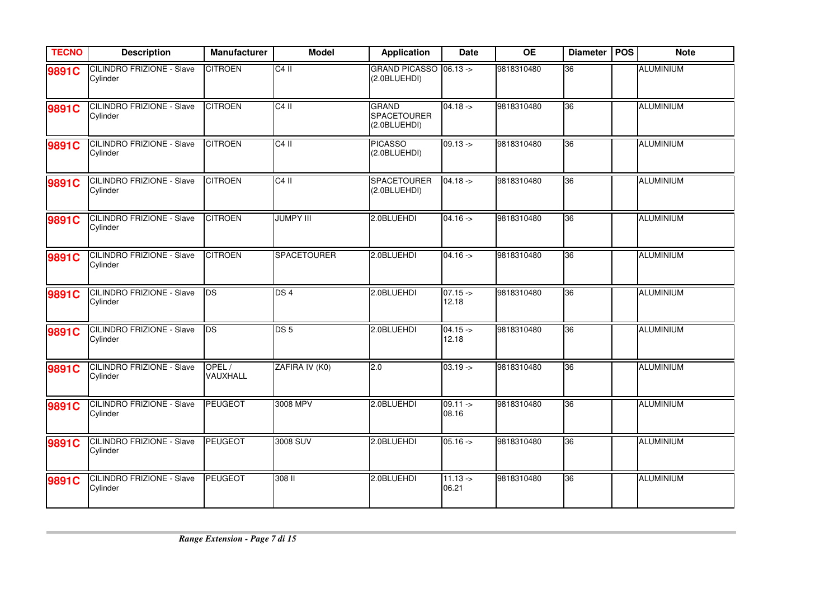| <b>TECNO</b> | <b>Description</b>                           | <b>Manufacturer</b> | <b>Model</b>       | <b>Application</b>                                 | <b>Date</b>          | <b>OE</b>  | <b>Diameter</b> | <b>POS</b> | <b>Note</b>      |
|--------------|----------------------------------------------|---------------------|--------------------|----------------------------------------------------|----------------------|------------|-----------------|------------|------------------|
| 9891C        | <b>CILINDRO FRIZIONE - Slave</b><br>Cylinder | <b>CITROEN</b>      | $C4$ II            | GRAND PICASSO 06.13 -><br>(2.0BLUEHDI)             |                      | 9818310480 | 36              |            | <b>ALUMINIUM</b> |
| 9891C        | <b>CILINDRO FRIZIONE - Slave</b><br>Cylinder | <b>CITROEN</b>      | $C4$ II            | <b>GRAND</b><br><b>SPACETOURER</b><br>(2.0BLUEHDI) | $04.18 ->$           | 9818310480 | 36              |            | <b>ALUMINIUM</b> |
| 9891C        | <b>CILINDRO FRIZIONE - Slave</b><br>Cylinder | <b>CITROEN</b>      | $C4$ II            | <b>PICASSO</b><br>(2.0BLUEHDI)                     | $09.13 -$            | 9818310480 | 36              |            | <b>ALUMINIUM</b> |
| 9891C        | <b>CILINDRO FRIZIONE - Slave</b><br>Cylinder | <b>CITROEN</b>      | $C4$ II            | <b>SPACETOURER</b><br>(2.0BLUEHDI)                 | $04.18 -$            | 9818310480 | 36              |            | <b>ALUMINIUM</b> |
| 9891C        | <b>CILINDRO FRIZIONE - Slave</b><br>Cylinder | <b>CITROEN</b>      | <b>JUMPY III</b>   | 2.0BLUEHDI                                         | $04.16 -$            | 9818310480 | 36              |            | <b>ALUMINIUM</b> |
| 9891C        | <b>CILINDRO FRIZIONE - Slave</b><br>Cylinder | <b>CITROEN</b>      | <b>SPACETOURER</b> | 2.0BLUEHDI                                         | $04.16 ->$           | 9818310480 | 36              |            | <b>ALUMINIUM</b> |
| 9891C        | <b>CILINDRO FRIZIONE - Slave</b><br>Cylinder | <b>I</b> DS         | DS <sub>4</sub>    | 2.0BLUEHDI                                         | $07.15 -$<br>12.18   | 9818310480 | 36              |            | <b>ALUMINIUM</b> |
| 9891C        | <b>CILINDRO FRIZIONE - Slave</b><br>Cylinder | <b>DS</b>           | DS <sub>5</sub>    | 2.0BLUEHDI                                         | $04.15 -$<br>12.18   | 9818310480 | 36              |            | ALUMINIUM        |
| 9891C        | <b>CILINDRO FRIZIONE - Slave</b><br>Cylinder | OPEL/<br>VAUXHALL   | ZAFIRA IV (K0)     | 2.0                                                | $03.19 - >$          | 9818310480 | 36              |            | <b>ALUMINIUM</b> |
| 9891C        | <b>CILINDRO FRIZIONE - Slave</b><br>Cylinder | PEUGEOT             | 3008 MPV           | 2.0BLUEHDI                                         | $09.11 - >$<br>08.16 | 9818310480 | 36              |            | <b>ALUMINIUM</b> |
| 9891C        | <b>CILINDRO FRIZIONE - Slave</b><br>Cylinder | <b>PEUGEOT</b>      | 3008 SUV           | 2.0BLUEHDI                                         | $05.16 ->$           | 9818310480 | 36              |            | <b>ALUMINIUM</b> |
| 9891C        | <b>CILINDRO FRIZIONE - Slave</b><br>Cylinder | PEUGEOT             | 308 II             | 2.0BLUEHDI                                         | $11.13 ->$<br>06.21  | 9818310480 | 36              |            | <b>ALUMINIUM</b> |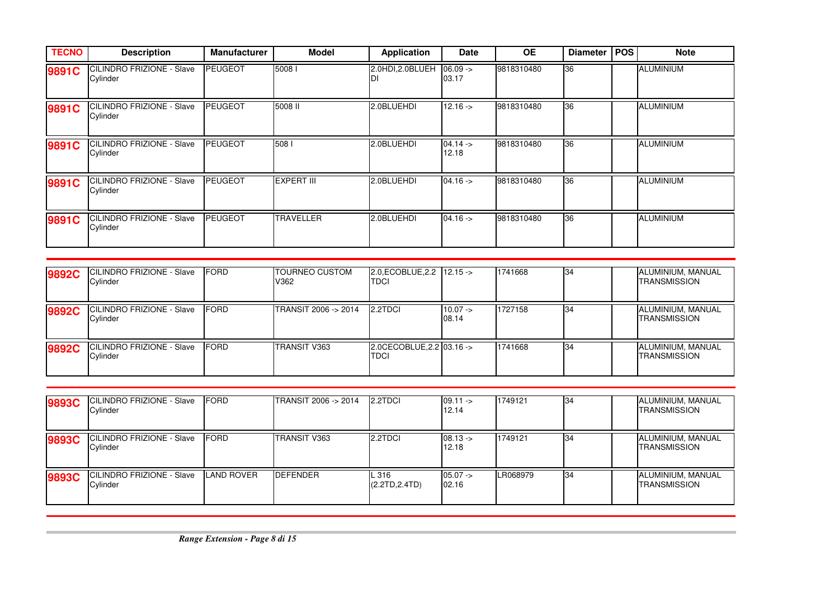| <b>TECNO</b> | <b>Description</b>                           | <b>Manufacturer</b> | <b>Model</b>      | <b>Application</b> | Date                | <b>OE</b>  | <b>Diameter</b> | <b>POS</b> | <b>Note</b>      |
|--------------|----------------------------------------------|---------------------|-------------------|--------------------|---------------------|------------|-----------------|------------|------------------|
| 9891C        | <b>CILINDRO FRIZIONE - Slave</b><br>Cylinder | <b>PEUGEOT</b>      | 50081             | 2.0HDI,2.0BLUEH    | $06.09 ->$<br>03.17 | 9818310480 | 36              |            | <b>ALUMINIUM</b> |
| 9891C        | CILINDRO FRIZIONE - Slave<br>Cylinder        | <b>PEUGEOT</b>      | 5008 II           | 2.0BLUEHDI         | $12.16 - \succ$     | 9818310480 | 36              |            | <b>ALUMINIUM</b> |
| 9891C        | CILINDRO FRIZIONE - Slave<br>Cylinder        | <b>PEUGEOT</b>      | 508               | 2.0BLUEHDI         | $04.14 -$<br>12.18  | 9818310480 | 36              |            | <b>ALUMINIUM</b> |
| 9891C        | CILINDRO FRIZIONE - Slave<br>Cylinder        | <b>PEUGEOT</b>      | <b>EXPERT III</b> | 2.0BLUEHDI         | $04.16 -$           | 9818310480 | 36              |            | <b>ALUMINIUM</b> |
| 9891C        | <b>CILINDRO FRIZIONE - Slave</b><br>Cylinder | <b>PEUGEOT</b>      | <b>TRAVELLER</b>  | 2.0BLUEHDI         | $04.16 -$           | 9818310480 | 36              |            | <b>ALUMINIUM</b> |

| 9892C | CILINDRO FRIZIONE - Slave<br>Cylinder        | <b>IFORD</b> | <b>TOURNEO CUSTOM</b><br>V362 | $2.0$ , ECOBLUE, 2.2   12.15 $\rightarrow$<br>TDCI |                    | 1741668 | 34        | ALUMINIUM, MANUAL<br><b>TRANSMISSION</b> |
|-------|----------------------------------------------|--------------|-------------------------------|----------------------------------------------------|--------------------|---------|-----------|------------------------------------------|
| 9892C | <b>CILINDRO FRIZIONE - Slave</b><br>Cylinder | <b>IFORD</b> | TRANSIT 2006 -> 2014          | 2.2TDCI                                            | $10.07 -$<br>08.14 | 1727158 | <b>34</b> | ALUMINIUM, MANUAL<br><b>TRANSMISSION</b> |
| 9892C | <b>CILINDRO FRIZIONE - Slave</b><br>Cylinder | <b>IFORD</b> | TRANSIT V363                  | 2.0CECOBLUE, 2.2 03.16 -><br>TDCI                  |                    | 1741668 | 34        | ALUMINIUM, MANUAL<br><b>TRANSMISSION</b> |

| 9893C | CILINDRO FRIZIONE - Slave<br>Cylinder         | <b>FORD</b> | TRANSIT 2006 -> 2014 | 2.2TDCI                 | $09.11 -$<br>12.14 | 1749121  | <b>34</b> | ALUMINIUM, MANUAL<br><b>TRANSMISSION</b> |
|-------|-----------------------------------------------|-------------|----------------------|-------------------------|--------------------|----------|-----------|------------------------------------------|
| 9893C | CILINDRO FRIZIONE - Slave<br>Cylinder         | <b>FORD</b> | TRANSIT V363         | 2.2TDCI                 | $08.13 -$<br>12.18 | 1749121  | 34        | ALUMINIUM, MANUAL<br><b>TRANSMISSION</b> |
| 9893C | <b>ICILINDRO FRIZIONE - Slave</b><br>Cylinder | AND ROVER   | <b>DEFENDER</b>      | L 316<br>(2.2TD, 2.4TD) | $05.07 -$<br>02.16 | LR068979 | 34        | ALUMINIUM, MANUAL<br><b>TRANSMISSION</b> |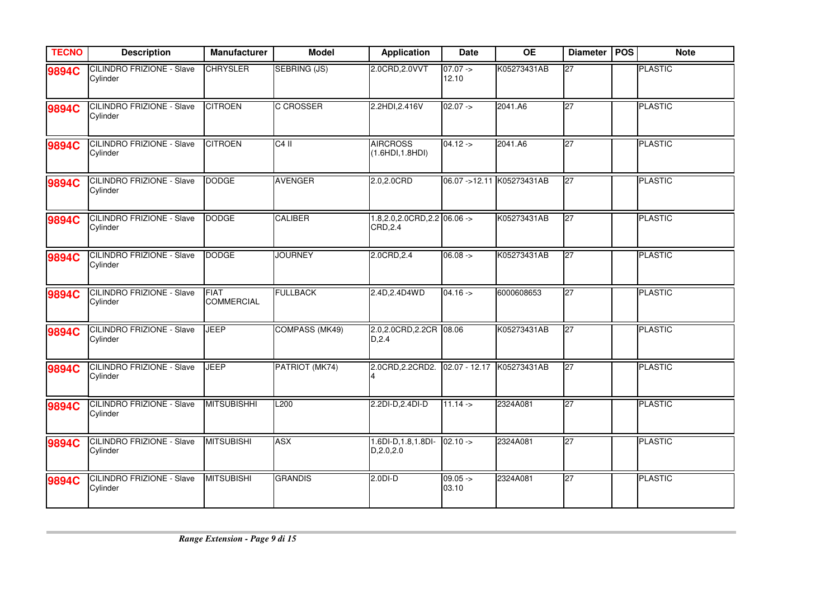| <b>TECNO</b> | <b>Description</b>                           | Manufacturer                     | <b>Model</b>          | <b>Application</b>                              | Date                | <b>OE</b>                 | <b>Diameter</b> | <b>POS</b> | <b>Note</b>    |
|--------------|----------------------------------------------|----------------------------------|-----------------------|-------------------------------------------------|---------------------|---------------------------|-----------------|------------|----------------|
| 9894C        | <b>CILINDRO FRIZIONE - Slave</b><br>Cylinder | <b>CHRYSLER</b>                  | <b>SEBRING (JS)</b>   | 2.0CRD, 2.0VVT                                  | $07.07 ->$<br>12.10 | K05273431AB               | 27              |            | <b>PLASTIC</b> |
| 9894C        | <b>CILINDRO FRIZIONE - Slave</b><br>Cylinder | <b>CITROEN</b>                   | <b>C CROSSER</b>      | 2.2HDI, 2.416V                                  | $02.07 ->$          | 2041.A6                   | 27              |            | <b>PLASTIC</b> |
| 9894C        | <b>CILINDRO FRIZIONE - Slave</b><br>Cylinder | <b>CITROEN</b>                   | $C4$ II               | <b>AIRCROSS</b><br>(1.6HDI, 1.8HDI)             | $04.12 -$           | 2041.A6                   | 27              |            | <b>PLASTIC</b> |
| 9894C        | <b>CILINDRO FRIZIONE - Slave</b><br>Cylinder | <b>DODGE</b>                     | <b>AVENGER</b>        | 2.0,2.0CRD                                      |                     | 06.07 ->12.11 K05273431AB | 27              |            | <b>PLASTIC</b> |
| 9894C        | <b>CILINDRO FRIZIONE - Slave</b><br>Cylinder | <b>DODGE</b>                     | <b>CALIBER</b>        | $1.8, 2.0, 2.0$ CRD, $2.2$ 06.06 -><br>CRD, 2.4 |                     | K05273431AB               | 27              |            | <b>PLASTIC</b> |
| 9894C        | <b>CILINDRO FRIZIONE - Slave</b><br>Cylinder | <b>DODGE</b>                     | <b>JOURNEY</b>        | 2.0CRD, 2.4                                     | $06.08 ->$          | K05273431AB               | $\overline{27}$ |            | <b>PLASTIC</b> |
| 9894C        | <b>CILINDRO FRIZIONE - Slave</b><br>Cylinder | <b>FIAT</b><br><b>COMMERCIAL</b> | <b>FULLBACK</b>       | 2.4D, 2.4D 4 WD                                 | $04.16 -$           | 6000608653                | 27              |            | <b>PLASTIC</b> |
| 9894C        | <b>CILINDRO FRIZIONE - Slave</b><br>Cylinder | <b>JEEP</b>                      | <b>COMPASS (MK49)</b> | 2.0,2.0CRD,2.2CR 08.06<br>D, 2.4                |                     | K05273431AB               | 27              |            | <b>PLASTIC</b> |
| 9894C        | <b>CILINDRO FRIZIONE - Slave</b><br>Cylinder | <b>JEEP</b>                      | PATRIOT (MK74)        | 2.0CRD, 2.2CRD2.                                |                     | 02.07 - 12.17 K05273431AB | 27              |            | <b>PLASTIC</b> |
| 9894C        | <b>CILINDRO FRIZIONE - Slave</b><br>Cylinder | <b>MITSUBISHHI</b>               | L <sub>200</sub>      | 2.2DI-D, 2.4DI-D                                | $11.14 -$           | 2324A081                  | 27              |            | <b>PLASTIC</b> |
| 9894C        | <b>CILINDRO FRIZIONE - Slave</b><br>Cylinder | <b>MITSUBISHI</b>                | <b>ASX</b>            | 1.6DI-D, 1.8, 1.8DI-<br>D, 2.0, 2.0             | $02.10 ->$          | 2324A081                  | 27              |            | <b>PLASTIC</b> |
| 9894C        | <b>CILINDRO FRIZIONE - Slave</b><br>Cylinder | <b>MITSUBISHI</b>                | <b>GRANDIS</b>        | $2.0D - D$                                      | $09.05 -$<br>03.10  | 2324A081                  | 27              |            | <b>PLASTIC</b> |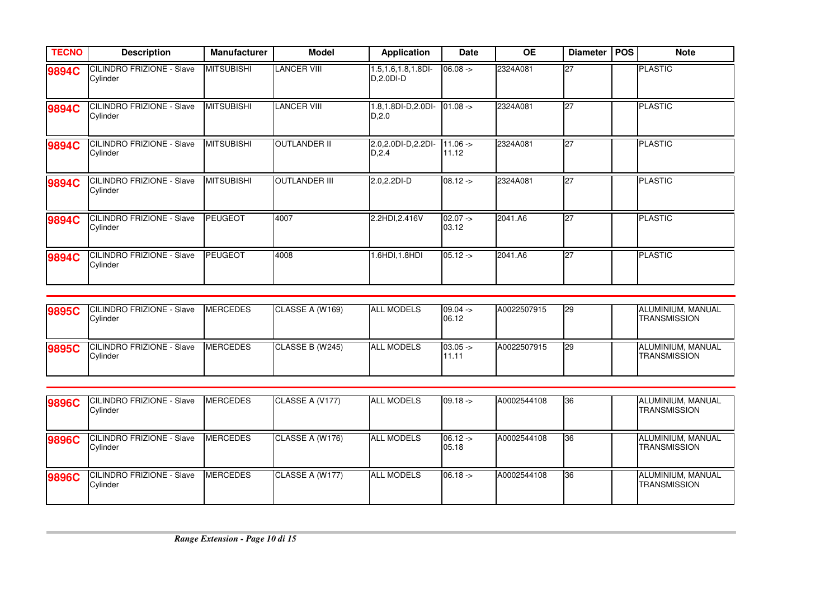| <b>TECNO</b> | <b>Description</b>                           | <b>Manufacturer</b> | <b>Model</b>         | <b>Application</b>                   | <b>Date</b>         | <b>OE</b> | <b>Diameter</b> | <b>POS</b> | <b>Note</b>    |
|--------------|----------------------------------------------|---------------------|----------------------|--------------------------------------|---------------------|-----------|-----------------|------------|----------------|
| 9894C        | <b>CILINDRO FRIZIONE - Slave</b><br>Cylinder | <b>MITSUBISHI</b>   | <b>LANCER VIII</b>   | 1.5,1.6,1.8,1.8DI-<br>$D, 2.0DI - D$ | $06.08 ->$          | 2324A081  | $\overline{27}$ |            | <b>PLASTIC</b> |
| 9894C        | CILINDRO FRIZIONE - Slave<br>Cylinder        | <b>MITSUBISHI</b>   | <b>LANCER VIII</b>   | 1.8,1.8DI-D,2.0DI-<br>D, 2.0         | $01.08 ->$          | 2324A081  | <b>27</b>       |            | <b>PLASTIC</b> |
| 9894C        | CILINDRO FRIZIONE - Slave<br>Cylinder        | <b>MITSUBISHI</b>   | <b>OUTLANDER II</b>  | 2.0.2.0DI-D.2.2DI-<br>D, 2.4         | $11.06 ->$<br>11.12 | 2324A081  | <b>27</b>       |            | <b>PLASTIC</b> |
| 9894C        | CILINDRO FRIZIONE - Slave<br>Cylinder        | <b>MITSUBISHI</b>   | <b>OUTLANDER III</b> | 2.0,2.2DI-D                          | $08.12 -$           | 2324A081  | 27              |            | <b>PLASTIC</b> |
| 9894C        | CILINDRO FRIZIONE - Slave<br>Cylinder        | <b>PEUGEOT</b>      | 4007                 | 2.2HDI, 2.416V                       | $02.07 -$<br>03.12  | 2041.A6   | $\overline{27}$ |            | <b>PLASTIC</b> |
| 9894C        | CILINDRO FRIZIONE - Slave<br>Cylinder        | <b>PEUGEOT</b>      | 4008                 | .6HDI,1.8HDI                         | $05.12 -$           | 2041.A6   | <b>27</b>       |            | <b>PLASTIC</b> |

| 9895C | <b>ICILINDRO FRIZIONE - Slave</b><br>Cylinder | <b>MERCEDES</b> | CLASSE A (W169) | <b>ALL MODELS</b> | $09.04 -$<br>06.12 | A0022507915 | <b>129</b> | ALUMINIUM, MANUAL<br><b>ITRANSMISSION</b> |
|-------|-----------------------------------------------|-----------------|-----------------|-------------------|--------------------|-------------|------------|-------------------------------------------|
| 9895C | <b>ICILINDRO FRIZIONE - Slave</b><br>Cylinder | <b>MERCEDES</b> | CLASSE B (W245) | <b>ALL MODELS</b> | $03.05 -$<br>11.11 | A0022507915 | <b>129</b> | ALUMINIUM, MANUAL<br><b>ITRANSMISSION</b> |

| 9896C | <b>ICILINDRO FRIZIONE - Slave</b><br>Cylinder        | <b>MERCEDES</b> | CLASSE A (V177) | <b>ALL MODELS</b> | $09.18 -$          | A0002544108 | 136 | ALUMINIUM, MANUAL<br>TRANSMISSION |
|-------|------------------------------------------------------|-----------------|-----------------|-------------------|--------------------|-------------|-----|-----------------------------------|
| 9896C | <b>ICILINDRO FRIZIONE - Slave</b><br><b>Cylinder</b> | <b>MERCEDES</b> | CLASSE A (W176) | <b>ALL MODELS</b> | $06.12 -$<br>05.18 | A0002544108 | 36  | ALUMINIUM, MANUAL<br>TRANSMISSION |
| 9896C | <b>ICILINDRO FRIZIONE - Slave</b><br>Cylinder        | <b>MERCEDES</b> | CLASSE A (W177) | <b>ALL MODELS</b> | $06.18 -$          | A0002544108 | 36  | ALUMINIUM, MANUAL<br>TRANSMISSION |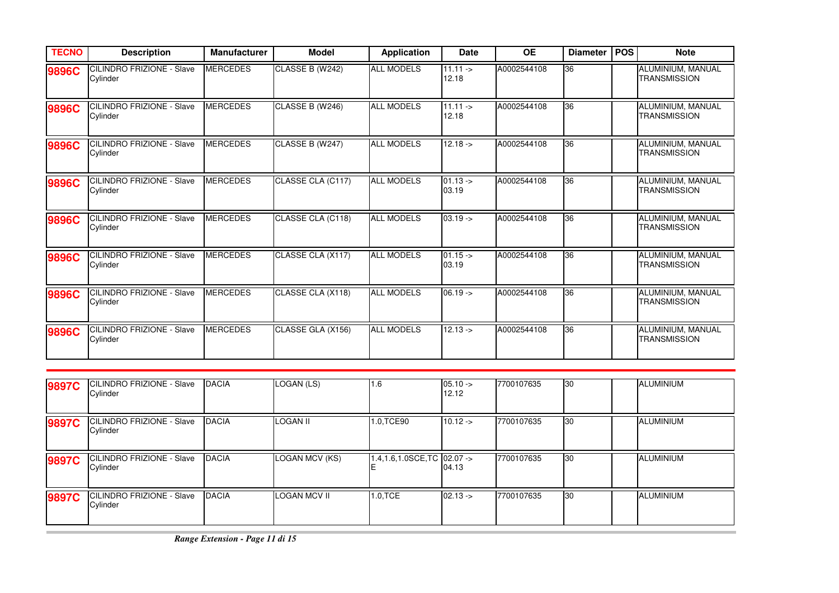| <b>TECNO</b> | <b>Description</b>                           | <b>Manufacturer</b> | <b>Model</b>      | <b>Application</b> | <b>Date</b>          | <b>OE</b>   | <b>Diameter</b> | <b>POS</b> | <b>Note</b>                              |
|--------------|----------------------------------------------|---------------------|-------------------|--------------------|----------------------|-------------|-----------------|------------|------------------------------------------|
| 9896C        | <b>CILINDRO FRIZIONE - Slave</b><br>Cylinder | <b>MERCEDES</b>     | CLASSE B (W242)   | <b>ALL MODELS</b>  | $11.11 -$<br>12.18   | A0002544108 | 36              |            | ALUMINIUM, MANUAL<br><b>TRANSMISSION</b> |
| 9896C        | <b>CILINDRO FRIZIONE - Slave</b><br>Cylinder | <b>MERCEDES</b>     | CLASSE B (W246)   | <b>ALL MODELS</b>  | $11.11 - >$<br>12.18 | A0002544108 | 36              |            | ALUMINIUM, MANUAL<br><b>TRANSMISSION</b> |
| 9896C        | <b>CILINDRO FRIZIONE - Slave</b><br>Cylinder | <b>MERCEDES</b>     | CLASSE B (W247)   | <b>ALL MODELS</b>  | $12.18 - 5$          | A0002544108 | 36              |            | ALUMINIUM, MANUAL<br><b>TRANSMISSION</b> |
| 9896C        | CILINDRO FRIZIONE - Slave<br>Cylinder        | <b>MERCEDES</b>     | CLASSE CLA (C117) | <b>ALL MODELS</b>  | $01.13 -$<br>03.19   | A0002544108 | 36              |            | ALUMINIUM, MANUAL<br><b>TRANSMISSION</b> |
| 9896C        | CILINDRO FRIZIONE - Slave<br>Cylinder        | <b>MERCEDES</b>     | CLASSE CLA (C118) | <b>ALL MODELS</b>  | $03.19 -$            | A0002544108 | 36              |            | ALUMINIUM, MANUAL<br><b>TRANSMISSION</b> |
| 9896C        | <b>CILINDRO FRIZIONE - Slave</b><br>Cylinder | <b>MERCEDES</b>     | CLASSE CLA (X117) | <b>ALL MODELS</b>  | $01.15 -$<br>03.19   | A0002544108 | 36              |            | ALUMINIUM, MANUAL<br><b>TRANSMISSION</b> |
| 9896C        | <b>CILINDRO FRIZIONE - Slave</b><br>Cylinder | <b>MERCEDES</b>     | CLASSE CLA (X118) | <b>ALL MODELS</b>  | $06.19 -$            | A0002544108 | 36              |            | ALUMINIUM, MANUAL<br><b>TRANSMISSION</b> |
| 9896C        | CILINDRO FRIZIONE - Slave<br>Cylinder        | <b>MERCEDES</b>     | CLASSE GLA (X156) | <b>ALL MODELS</b>  | $12.13 - 5$          | A0002544108 | 36              |            | ALUMINIUM, MANUAL<br><b>TRANSMISSION</b> |

| 9897C        | CILINDRO FRIZIONE - Slave<br>Cylinder         | <b>IDACIA</b> | LOGAN (LS)          | $.6\,$                        | $05.10 ->$<br>12.12 | 7700107635 | 30        | <b>ALUMINIUM</b> |
|--------------|-----------------------------------------------|---------------|---------------------|-------------------------------|---------------------|------------|-----------|------------------|
| 9897C        | <b>ICILINDRO FRIZIONE - Slave</b><br>Cylinder | <b>DACIA</b>  | <b>LOGAN II</b>     | 1.0,TCE90                     | $10.12 -$           | 7700107635 | <b>30</b> | <b>ALUMINIUM</b> |
| <b>9897C</b> | <b>CILINDRO FRIZIONE - Slave</b><br>Cylinder  | <b>DACIA</b>  | LOGAN MCV (KS)      | 1.4, 1.6, 1.0SCE, TC 02.07 -> | 04.13               | 7700107635 | 30        | <b>ALUMINIUM</b> |
| 9897C        | <b>ICILINDRO FRIZIONE - Slave</b><br>Cylinder | <b>DACIA</b>  | <b>LOGAN MCV II</b> | 1.0.TCE                       | $02.13 -$           | 7700107635 | 30        | ALUMINIUM        |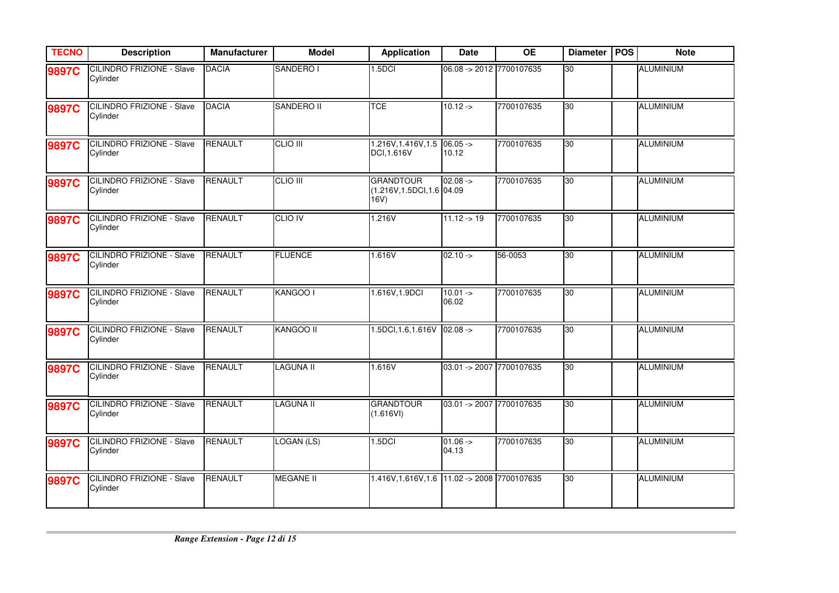| <b>TECNO</b> | <b>Description</b>                           | <b>Manufacturer</b> | <b>Model</b>      | <b>Application</b>                                    | <b>Date</b>              | <b>OE</b>  | <b>Diameter</b> | <b>POS</b> | <b>Note</b>      |
|--------------|----------------------------------------------|---------------------|-------------------|-------------------------------------------------------|--------------------------|------------|-----------------|------------|------------------|
| 9897C        | <b>CILINDRO FRIZIONE - Slave</b><br>Cylinder | <b>DACIA</b>        | SANDERO I         | 1.5 <sub>DCI</sub>                                    | 06.08 -> 2012 7700107635 |            | 30              |            | <b>ALUMINIUM</b> |
| 9897C        | <b>CILINDRO FRIZIONE - Slave</b><br>Cylinder | <b>DACIA</b>        | <b>SANDERO II</b> | <b>TCE</b>                                            | $10.12 - 5$              | 7700107635 | 30              |            | <b>ALUMINIUM</b> |
| 9897C        | <b>CILINDRO FRIZIONE - Slave</b><br>Cylinder | <b>RENAULT</b>      | <b>CLIO III</b>   | $1.216V, 1.416V, 1.5$ 06.05 -><br>DCI, 1.616V         | 10.12                    | 7700107635 | 30              |            | <b>ALUMINIUM</b> |
| 9897C        | <b>CILINDRO FRIZIONE - Slave</b><br>Cylinder | RENAULT             | <b>CLIO III</b>   | <b>GRANDTOUR</b><br>(1.216V, 1.5DCI, 1.6 04.09<br>16V | $02.08 ->$               | 7700107635 | 30              |            | <b>ALUMINIUM</b> |
| 9897C        | <b>CILINDRO FRIZIONE - Slave</b><br>Cylinder | RENAULT             | <b>CLIO IV</b>    | 1.216V                                                | $11.12 \div 19$          | 7700107635 | 30              |            | <b>ALUMINIUM</b> |
| 9897C        | <b>CILINDRO FRIZIONE - Slave</b><br>Cylinder | RENAULT             | <b>FLUENCE</b>    | 1.616V                                                | $02.10 ->$               | 56-0053    | 30              |            | <b>ALUMINIUM</b> |
| 9897C        | <b>CILINDRO FRIZIONE - Slave</b><br>Cylinder | <b>RENAULT</b>      | KANGOO I          | 1.616V, 1.9DCI                                        | $10.01 ->$<br>06.02      | 7700107635 | 30              |            | <b>ALUMINIUM</b> |
| 9897C        | <b>CILINDRO FRIZIONE - Slave</b><br>Cylinder | <b>RENAULT</b>      | <b>KANGOO II</b>  | $1.5DCI, 1.6, 1.616V$ 02.08 ->                        |                          | 7700107635 | 30              |            | <b>ALUMINIUM</b> |
| 9897C        | CILINDRO FRIZIONE - Slave<br>Cylinder        | RENAULT             | <b>LAGUNA II</b>  | 1.616V                                                | 03.01 -> 2007 7700107635 |            | 30              |            | <b>ALUMINIUM</b> |
| 9897C        | CILINDRO FRIZIONE - Slave<br>Cylinder        | <b>RENAULT</b>      | <b>LAGUNA II</b>  | <b>GRANDTOUR</b><br>(1.616VI)                         | 03.01 -> 2007 7700107635 |            | 30              |            | <b>ALUMINIUM</b> |
| 9897C        | <b>CILINDRO FRIZIONE - Slave</b><br>Cylinder | <b>RENAULT</b>      | LOGAN (LS)        | 1.5 <sub>DCI</sub>                                    | $01.06 ->$<br>04.13      | 7700107635 | 30              |            | ALUMINIUM        |
| 9897C        | <b>CILINDRO FRIZIONE - Slave</b><br>Cylinder | <b>RENAULT</b>      | <b>MEGANE II</b>  | 1.416V, 1.616V, 1.6 11.02 -> 2008 7700107635          |                          |            | 30              |            | <b>ALUMINIUM</b> |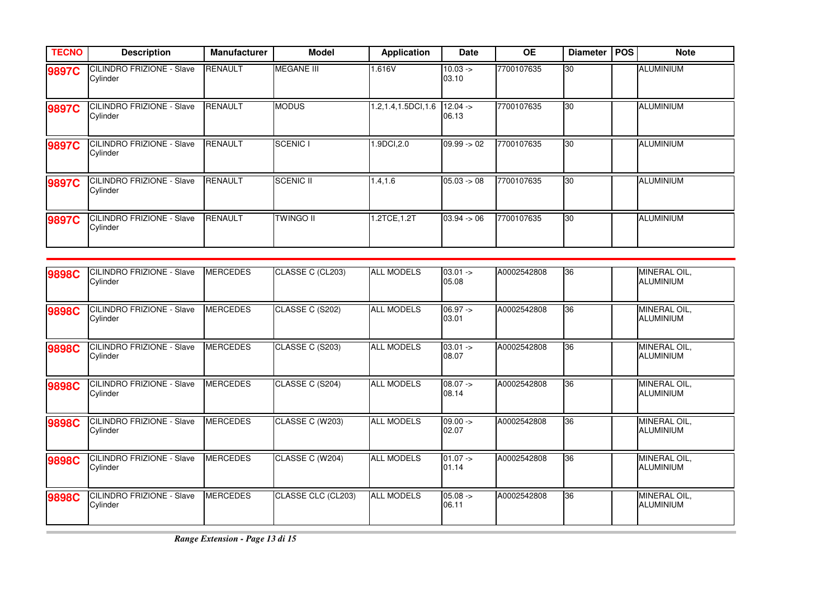| <b>TECNO</b> | <b>Description</b>                            | <b>Manufacturer</b> | <b>Model</b>      | <b>Application</b> | <b>Date</b>              | <b>OE</b>  | <b>Diameter</b> | <b>POS</b> | <b>Note</b>      |
|--------------|-----------------------------------------------|---------------------|-------------------|--------------------|--------------------------|------------|-----------------|------------|------------------|
| 9897C        | <b>CILINDRO FRIZIONE - Slave</b><br>Cylinder  | <b>RENAULT</b>      | <b>MEGANE III</b> | 1.616V             | $10.03 - 5$<br>03.10     | 7700107635 | 30              |            | <b>ALUMINIUM</b> |
| 9897C        | <b>CILINDRO FRIZIONE - Slave</b><br>Cylinder  | <b>RENAULT</b>      | <b>MODUS</b>      | 1.2,1.4,1.5DCI,1.6 | $12.04 - \succ$<br>06.13 | 7700107635 | 30              |            | <b>ALUMINIUM</b> |
| 9897C        | <b>ICILINDRO FRIZIONE - Slave</b><br>Cylinder | <b>RENAULT</b>      | <b>SCENIC I</b>   | 1.9DCI,2.0         | $09.99 - 02$             | 7700107635 | 30              |            | <b>ALUMINIUM</b> |
| 9897C        | <b>CILINDRO FRIZIONE - Slave</b><br>Cylinder  | <b>RENAULT</b>      | <b>SCENIC II</b>  | 1.4,1.6            | $05.03 \div 08$          | 7700107635 | 30              |            | ALUMINIUM        |
| 9897C        | <b>CILINDRO FRIZIONE - Slave</b><br>Cylinder  | <b>RENAULT</b>      | <b>TWINGO II</b>  | 1.2TCE, 1.2T       | $03.94 - 06$             | 7700107635 | $\overline{30}$ |            | <b>ALUMINIUM</b> |

| 9898C | <b>CILINDRO FRIZIONE - Slave</b><br>Cylinder | <b>MERCEDES</b> | CLASSE C (CL203)   | <b>ALL MODELS</b> | $03.01 -$<br>05.08  | A0002542808 | 36 | MINERAL OIL,<br><b>ALUMINIUM</b> |
|-------|----------------------------------------------|-----------------|--------------------|-------------------|---------------------|-------------|----|----------------------------------|
| 9898C | <b>CILINDRO FRIZIONE - Slave</b><br>Cylinder | <b>MERCEDES</b> | CLASSE C (S202)    | <b>ALL MODELS</b> | $06.97 -$<br>03.01  | A0002542808 | 36 | MINERAL OIL,<br><b>ALUMINIUM</b> |
| 9898C | CILINDRO FRIZIONE - Slave<br>Cylinder        | <b>MERCEDES</b> | CLASSE C (S203)    | <b>ALL MODELS</b> | $03.01 -$<br>08.07  | A0002542808 | 36 | MINERAL OIL,<br><b>ALUMINIUM</b> |
| 9898C | <b>CILINDRO FRIZIONE - Slave</b><br>Cylinder | <b>MERCEDES</b> | CLASSE C (S204)    | <b>ALL MODELS</b> | $08.07 -$<br>08.14  | A0002542808 | 36 | MINERAL OIL,<br><b>ALUMINIUM</b> |
| 9898C | <b>CILINDRO FRIZIONE - Slave</b><br>Cylinder | <b>MERCEDES</b> | CLASSE C (W203)    | <b>ALL MODELS</b> | $09.00 ->$<br>02.07 | A0002542808 | 36 | MINERAL OIL,<br><b>ALUMINIUM</b> |
| 9898C | <b>CILINDRO FRIZIONE - Slave</b><br>Cylinder | <b>MERCEDES</b> | CLASSE C (W204)    | <b>ALL MODELS</b> | $01.07 -$<br>01.14  | A0002542808 | 36 | MINERAL OIL,<br><b>ALUMINIUM</b> |
| 9898C | CILINDRO FRIZIONE - Slave<br>Cylinder        | <b>MERCEDES</b> | CLASSE CLC (CL203) | <b>ALL MODELS</b> | $05.08 -$<br>06.11  | A0002542808 | 36 | MINERAL OIL,<br><b>ALUMINIUM</b> |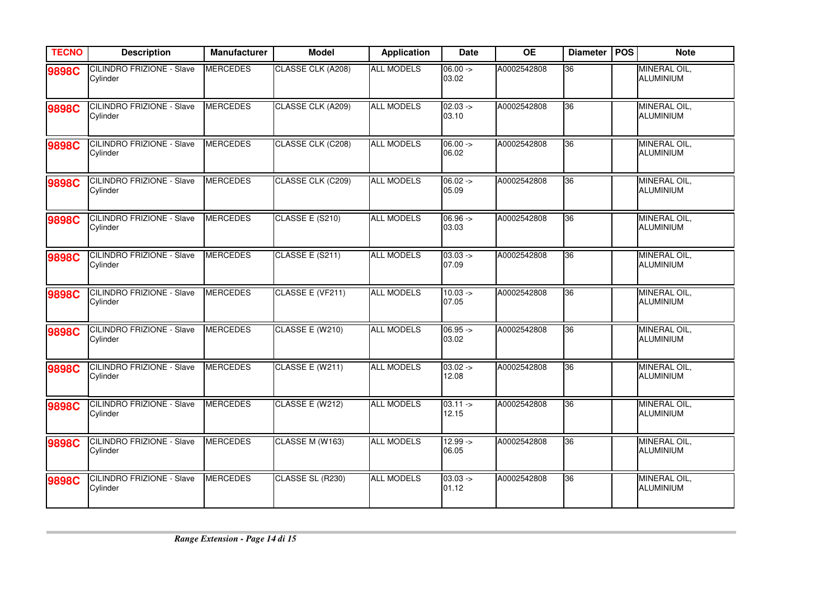| <b>TECNO</b> | <b>Description</b>                           | <b>Manufacturer</b> | <b>Model</b>      | <b>Application</b> | <b>Date</b>          | <b>OE</b>   | <b>Diameter</b> | <b>POS</b> | <b>Note</b>                      |
|--------------|----------------------------------------------|---------------------|-------------------|--------------------|----------------------|-------------|-----------------|------------|----------------------------------|
| 9898C        | <b>CILINDRO FRIZIONE - Slave</b><br>Cylinder | <b>MERCEDES</b>     | CLASSE CLK (A208) | <b>ALL MODELS</b>  | $06.00 ->$<br>03.02  | A0002542808 | 36              |            | MINERAL OIL,<br><b>ALUMINIUM</b> |
| <b>9898C</b> | <b>CILINDRO FRIZIONE - Slave</b><br>Cylinder | <b>MERCEDES</b>     | CLASSE CLK (A209) | <b>ALL MODELS</b>  | $02.03 ->$<br>03.10  | A0002542808 | 36              |            | MINERAL OIL,<br><b>ALUMINIUM</b> |
| 9898C        | <b>CILINDRO FRIZIONE - Slave</b><br>Cylinder | <b>MERCEDES</b>     | CLASSE CLK (C208) | <b>ALL MODELS</b>  | $06.00 ->$<br>06.02  | A0002542808 | 36              |            | MINERAL OIL,<br><b>ALUMINIUM</b> |
| 9898C        | <b>CILINDRO FRIZIONE - Slave</b><br>Cylinder | <b>MERCEDES</b>     | CLASSE CLK (C209) | <b>ALL MODELS</b>  | $06.02 ->$<br>05.09  | A0002542808 | 36              |            | MINERAL OIL,<br><b>ALUMINIUM</b> |
| 9898C        | <b>CILINDRO FRIZIONE - Slave</b><br>Cylinder | <b>MERCEDES</b>     | CLASSE E (S210)   | <b>ALL MODELS</b>  | $06.96 -$<br>03.03   | A0002542808 | 36              |            | MINERAL OIL,<br><b>ALUMINIUM</b> |
| 9898C        | <b>CILINDRO FRIZIONE - Slave</b><br>Cylinder | <b>MERCEDES</b>     | CLASSE E (S211)   | <b>ALL MODELS</b>  | $03.03 ->$<br>07.09  | A0002542808 | 36              |            | MINERAL OIL,<br><b>ALUMINIUM</b> |
| 9898C        | <b>CILINDRO FRIZIONE - Slave</b><br>Cylinder | <b>MERCEDES</b>     | CLASSE E (VF211)  | <b>ALL MODELS</b>  | $10.03 ->$<br>07.05  | A0002542808 | 36              |            | MINERAL OIL,<br><b>ALUMINIUM</b> |
| 9898C        | <b>CILINDRO FRIZIONE - Slave</b><br>Cylinder | <b>MERCEDES</b>     | CLASSE E (W210)   | <b>ALL MODELS</b>  | $06.95 -$<br>03.02   | A0002542808 | 36              |            | MINERAL OIL,<br><b>ALUMINIUM</b> |
| 9898C        | <b>CILINDRO FRIZIONE - Slave</b><br>Cylinder | <b>MERCEDES</b>     | CLASSE E (W211)   | <b>ALL MODELS</b>  | $03.02 -$<br>12.08   | A0002542808 | 36              |            | MINERAL OIL,<br><b>ALUMINIUM</b> |
| 9898C        | CILINDRO FRIZIONE - Slave<br>Cylinder        | <b>MERCEDES</b>     | CLASSE E (W212)   | <b>ALL MODELS</b>  | $03.11 - >$<br>12.15 | A0002542808 | 36              |            | MINERAL OIL,<br><b>ALUMINIUM</b> |
| 9898C        | <b>CILINDRO FRIZIONE - Slave</b><br>Cylinder | <b>MERCEDES</b>     | CLASSE M (W163)   | <b>ALL MODELS</b>  | $12.99 ->$<br>06.05  | A0002542808 | 36              |            | MINERAL OIL,<br><b>ALUMINIUM</b> |
| 9898C        | <b>CILINDRO FRIZIONE - Slave</b><br>Cylinder | <b>MERCEDES</b>     | CLASSE SL (R230)  | <b>ALL MODELS</b>  | $03.03 ->$<br>01.12  | A0002542808 | 36              |            | MINERAL OIL,<br><b>ALUMINIUM</b> |